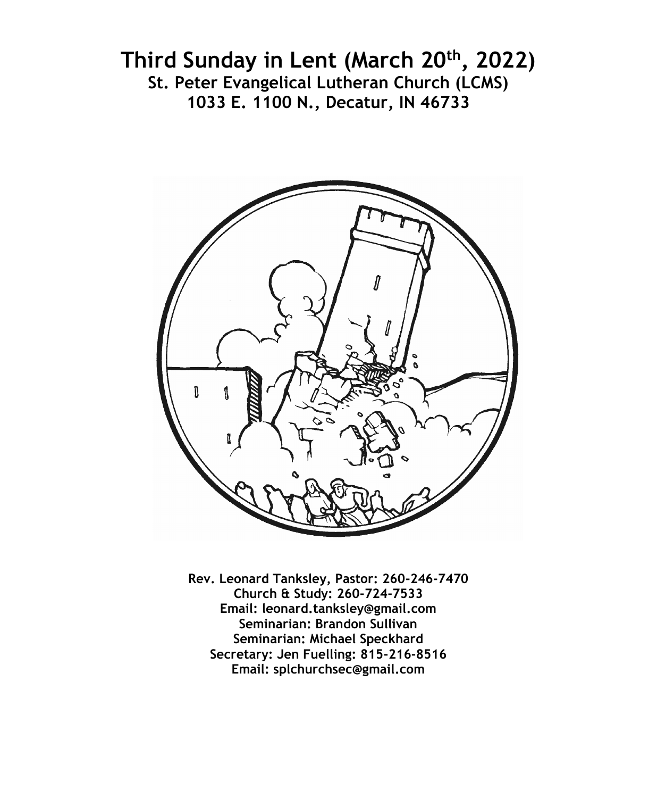# **Third Sunday in Lent (March 20th, 2022) St. Peter Evangelical Lutheran Church (LCMS) 1033 E. 1100 N., Decatur, IN 46733**



**Rev. Leonard Tanksley, Pastor: 260-246-7470 Church & Study: 260-724-7533 Email: leonard.tanksley@gmail.com Seminarian: Brandon Sullivan Seminarian: Michael Speckhard Secretary: Jen Fuelling: 815-216-8516 Email: splchurchsec@gmail.com**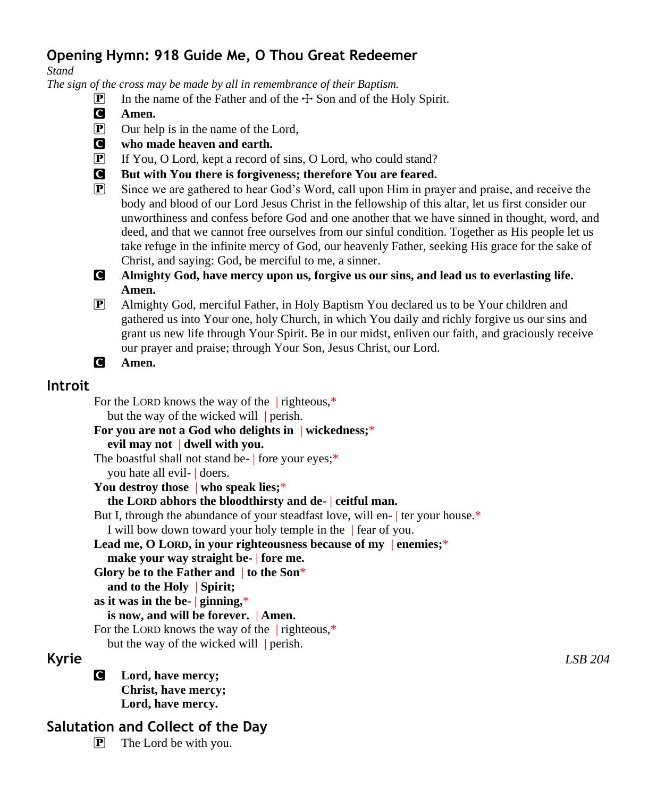# **Opening Hymn: 918 Guide Me, O Thou Great Redeemer**

*Stand*

*The sign of the cross may be made by all in remembrance of their Baptism.*

- $\boxed{\mathbf{P}}$  In the name of the Father and of the  $\div$  Son and of the Holy Spirit.
- C **Amen.**
- P Our help is in the name of the Lord,
- C **who made heaven and earth.**
- P If You, O Lord, kept a record of sins, O Lord, who could stand?
- C **But with You there is forgiveness; therefore You are feared.**
- P Since we are gathered to hear God's Word, call upon Him in prayer and praise, and receive the body and blood of our Lord Jesus Christ in the fellowship of this altar, let us first consider our unworthiness and confess before God and one another that we have sinned in thought, word, and deed, and that we cannot free ourselves from our sinful condition. Together as His people let us take refuge in the infinite mercy of God, our heavenly Father, seeking His grace for the sake of Christ, and saying: God, be merciful to me, a sinner.
- C **Almighty God, have mercy upon us, forgive us our sins, and lead us to everlasting life. Amen.**
- P Almighty God, merciful Father, in Holy Baptism You declared us to be Your children and gathered us into Your one, holy Church, in which You daily and richly forgive us our sins and grant us new life through Your Spirit. Be in our midst, enliven our faith, and graciously receive our prayer and praise; through Your Son, Jesus Christ, our Lord.

C **Amen.**

# **Introit**

For the LORD knows the way of the righteous.<sup>\*</sup> but the way of the wicked will perish.

#### **For you are not a God who delights in** | **wickedness;**\* **evil may not** | **dwell with you.**

The boastful shall not stand be- | fore your eyes;\*

you hate all evil- | doers.

**You destroy those** | **who speak lies;**\*

#### **the LORD abhors the bloodthirsty and de-** | **ceitful man.**

But I, through the abundance of your steadfast love, will en- ter your house.\*

I will bow down toward your holy temple in the | fear of you.

**Lead me, O LORD, in your righteousness because of my** | **enemies;**\*

- **make your way straight be-** | **fore me.**
- **Glory be to the Father and** | **to the Son**\*

**and to the Holy** | **Spirit;**

**as it was in the be-** | **ginning,**\*

## **is now, and will be forever.** | **Amen.**

For the LORD knows the way of the righteous.<sup>\*</sup>

but the way of the wicked will perish.

C **Lord, have mercy; Christ, have mercy; Lord, have mercy.**

# **Salutation and Collect of the Day**

 $\overline{P}$  The Lord be with you.

**Kyrie** *LSB 204*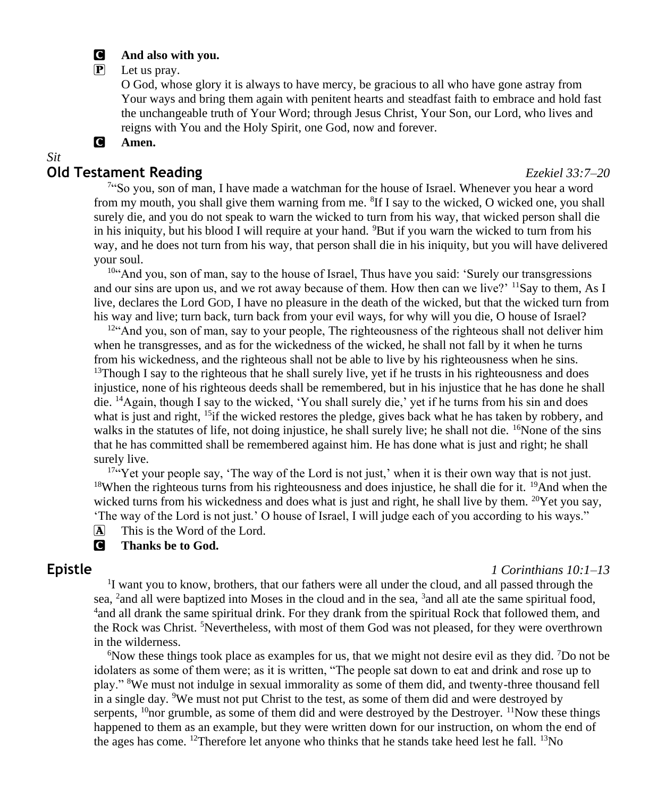#### C **And also with you.**

#### P Let us pray.

O God, whose glory it is always to have mercy, be gracious to all who have gone astray from Your ways and bring them again with penitent hearts and steadfast faith to embrace and hold fast the unchangeable truth of Your Word; through Jesus Christ, Your Son, our Lord, who lives and reigns with You and the Holy Spirit, one God, now and forever.

#### C **Amen.**

#### *Sit*

#### **Old Testament Reading** *Ezekiel 33:7–20*

<sup>74</sup>So you, son of man, I have made a watchman for the house of Israel. Whenever you hear a word from my mouth, you shall give them warning from me. <sup>8</sup>If I say to the wicked, O wicked one, you shall surely die, and you do not speak to warn the wicked to turn from his way, that wicked person shall die in his iniquity, but his blood I will require at your hand. <sup>9</sup>But if you warn the wicked to turn from his way, and he does not turn from his way, that person shall die in his iniquity, but you will have delivered your soul.

10"And you, son of man, say to the house of Israel, Thus have you said: 'Surely our transgressions and our sins are upon us, and we rot away because of them. How then can we live?  $\frac{11}{2}$ Say to them, As I live, declares the Lord GOD, I have no pleasure in the death of the wicked, but that the wicked turn from his way and live; turn back, turn back from your evil ways, for why will you die, O house of Israel?

 $12^{24}$ And you, son of man, say to your people, The righteousness of the righteous shall not deliver him when he transgresses, and as for the wickedness of the wicked, he shall not fall by it when he turns from his wickedness, and the righteous shall not be able to live by his righteousness when he sins.  $13$ Though I say to the righteous that he shall surely live, yet if he trusts in his righteousness and does injustice, none of his righteous deeds shall be remembered, but in his injustice that he has done he shall die. <sup>14</sup>Again, though I say to the wicked, 'You shall surely die,' yet if he turns from his sin and does what is just and right,  $15$  if the wicked restores the pledge, gives back what he has taken by robbery, and walks in the statutes of life, not doing injustice, he shall surely live; he shall not die. <sup>16</sup>None of the sins that he has committed shall be remembered against him. He has done what is just and right; he shall surely live.

<sup>17"</sup>Yet your people say, 'The way of the Lord is not just,' when it is their own way that is not just. <sup>18</sup>When the righteous turns from his righteousness and does injustice, he shall die for it. <sup>19</sup>And when the wicked turns from his wickedness and does what is just and right, he shall live by them.  $20\text{Y}$ et you say, 'The way of the Lord is not just.' O house of Israel, I will judge each of you according to his ways."

A This is the Word of the Lord.

#### **C** Thanks be to God.

#### **Epistle** *1 Corinthians 10:1–13*

<sup>1</sup>I want you to know, brothers, that our fathers were all under the cloud, and all passed through the sea, <sup>2</sup> and all were baptized into Moses in the cloud and in the sea, <sup>3</sup> and all ate the same spiritual food, <sup>4</sup> and all drank the same spiritual drink. For they drank from the spiritual Rock that followed them, and the Rock was Christ. <sup>5</sup>Nevertheless, with most of them God was not pleased, for they were overthrown in the wilderness.

 $6$ Now these things took place as examples for us, that we might not desire evil as they did. <sup>7</sup>Do not be idolaters as some of them were; as it is written, "The people sat down to eat and drink and rose up to play." <sup>8</sup>We must not indulge in sexual immorality as some of them did, and twenty-three thousand fell in a single day. <sup>9</sup>We must not put Christ to the test, as some of them did and were destroyed by serpents,  $10$ <sub>nor</sub> grumble, as some of them did and were destroyed by the Destroyer.  $11$ Now these things happened to them as an example, but they were written down for our instruction, on whom the end of the ages has come. <sup>12</sup>Therefore let anyone who thinks that he stands take heed lest he fall. <sup>13</sup>No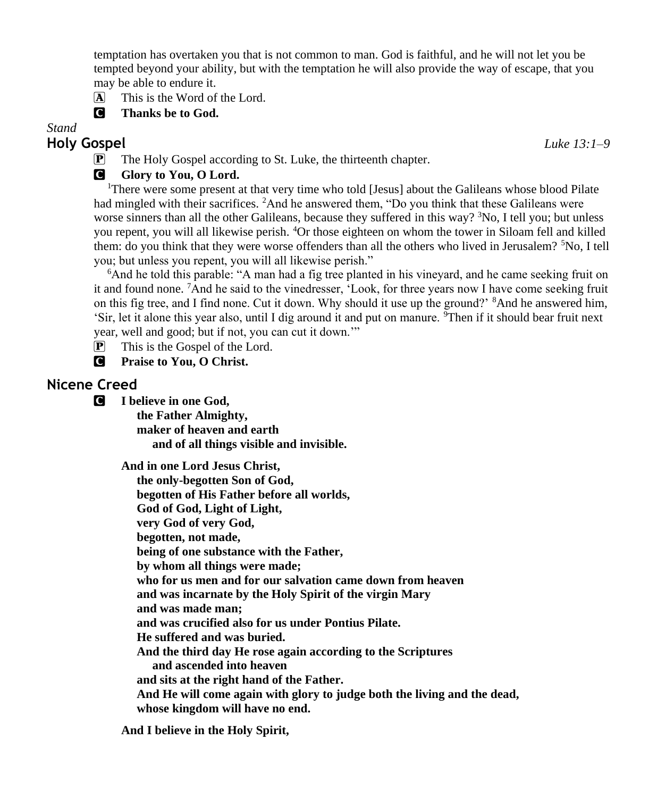temptation has overtaken you that is not common to man. God is faithful, and he will not let you be tempted beyond your ability, but with the temptation he will also provide the way of escape, that you may be able to endure it.

- A This is the Word of the Lord.
- C **Thanks be to God.**

*Stand*

# **Holy Gospel** *Luke 13:1–9*

P The Holy Gospel according to St. Luke, the thirteenth chapter.

# **G** Glory to You, O Lord.

<sup>1</sup>There were some present at that very time who told [Jesus] about the Galileans whose blood Pilate had mingled with their sacrifices. <sup>2</sup>And he answered them, "Do you think that these Galileans were worse sinners than all the other Galileans, because they suffered in this way? <sup>3</sup>No, I tell you; but unless you repent, you will all likewise perish. <sup>4</sup>Or those eighteen on whom the tower in Siloam fell and killed them: do you think that they were worse offenders than all the others who lived in Jerusalem?  ${}^{5}No$ , I tell you; but unless you repent, you will all likewise perish."

<sup>6</sup>And he told this parable: "A man had a fig tree planted in his vineyard, and he came seeking fruit on it and found none. <sup>7</sup>And he said to the vinedresser, 'Look, for three years now I have come seeking fruit on this fig tree, and I find none. Cut it down. Why should it use up the ground?' <sup>8</sup>And he answered him, 'Sir, let it alone this year also, until I dig around it and put on manure. <sup>9</sup>Then if it should bear fruit next year, well and good; but if not, you can cut it down.'"

**P** This is the Gospel of the Lord.

C **Praise to You, O Christ.**

# **Nicene Creed**

C **I believe in one God,**

 **the Father Almighty, maker of heaven and earth and of all things visible and invisible.**

**And in one Lord Jesus Christ, the only-begotten Son of God, begotten of His Father before all worlds, God of God, Light of Light, very God of very God, begotten, not made, being of one substance with the Father, by whom all things were made; who for us men and for our salvation came down from heaven and was incarnate by the Holy Spirit of the virgin Mary and was made man; and was crucified also for us under Pontius Pilate. He suffered and was buried. And the third day He rose again according to the Scriptures and ascended into heaven and sits at the right hand of the Father. And He will come again with glory to judge both the living and the dead, whose kingdom will have no end.**

**And I believe in the Holy Spirit,**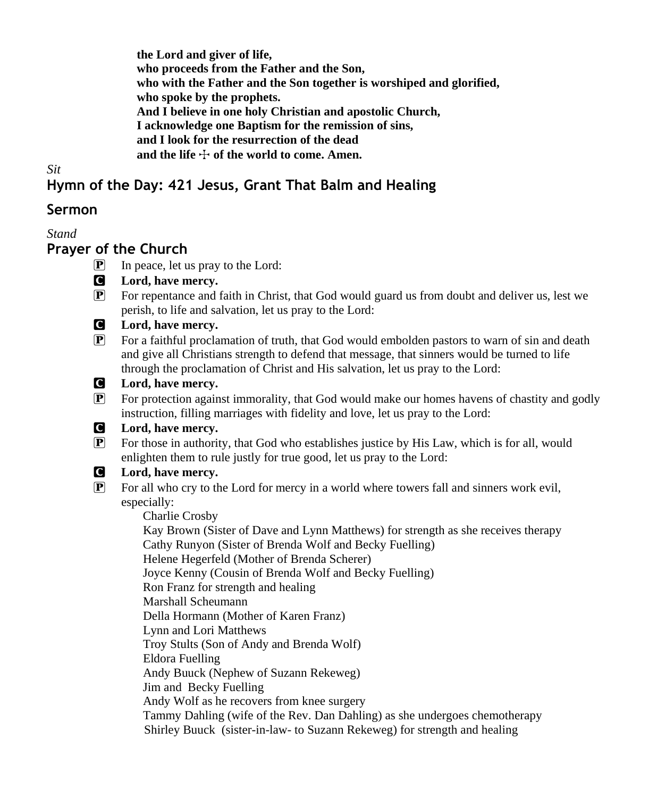**the Lord and giver of life, who proceeds from the Father and the Son, who with the Father and the Son together is worshiped and glorified, who spoke by the prophets. And I believe in one holy Christian and apostolic Church, I acknowledge one Baptism for the remission of sins, and I look for the resurrection of the dead** and the life  $\div$  of the world to come. Amen.

*Sit*

# **Hymn of the Day: 421 Jesus, Grant That Balm and Healing**

## **Sermon**

*Stand*

## **Prayer of the Church**

- P In peace, let us pray to the Lord:
- C **Lord, have mercy.**
- P For repentance and faith in Christ, that God would guard us from doubt and deliver us, lest we perish, to life and salvation, let us pray to the Lord:
- C **Lord, have mercy.**
- P For a faithful proclamation of truth, that God would embolden pastors to warn of sin and death and give all Christians strength to defend that message, that sinners would be turned to life through the proclamation of Christ and His salvation, let us pray to the Lord:
- 

#### C **Lord, have mercy.**

- P For protection against immorality, that God would make our homes havens of chastity and godly instruction, filling marriages with fidelity and love, let us pray to the Lord:
- C **Lord, have mercy.**
- P For those in authority, that God who establishes justice by His Law, which is for all, would enlighten them to rule justly for true good, let us pray to the Lord:

## C **Lord, have mercy.**

 $\mathbb{P}$  For all who cry to the Lord for mercy in a world where towers fall and sinners work evil, especially:

 Charlie Crosby Kay Brown (Sister of Dave and Lynn Matthews) for strength as she receives therapy Cathy Runyon (Sister of Brenda Wolf and Becky Fuelling) Helene Hegerfeld (Mother of Brenda Scherer) Joyce Kenny (Cousin of Brenda Wolf and Becky Fuelling) Ron Franz for strength and healing Marshall Scheumann Della Hormann (Mother of Karen Franz) Lynn and Lori Matthews Troy Stults (Son of Andy and Brenda Wolf) Eldora Fuelling Andy Buuck (Nephew of Suzann Rekeweg) Jim and Becky Fuelling Andy Wolf as he recovers from knee surgery Tammy Dahling (wife of the Rev. Dan Dahling) as she undergoes chemotherapy Shirley Buuck (sister-in-law- to Suzann Rekeweg) for strength and healing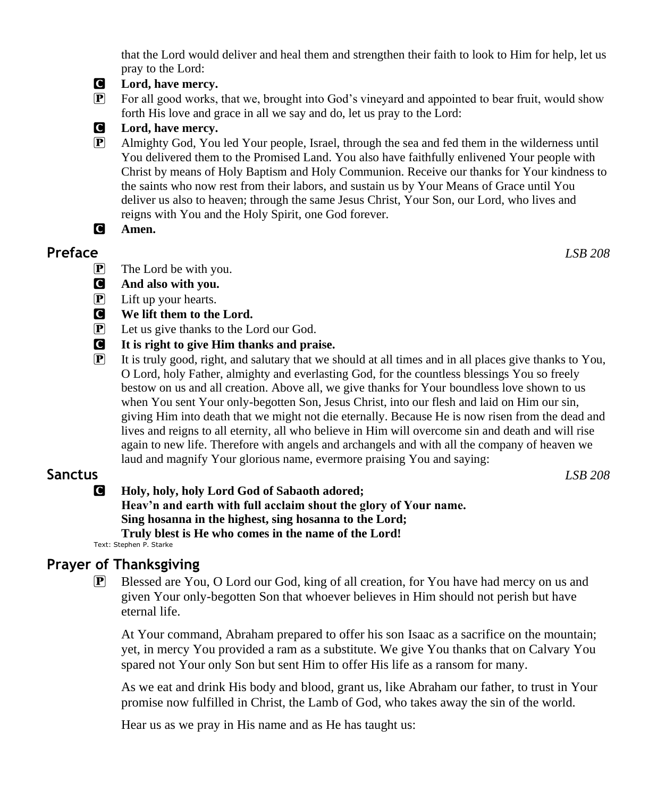that the Lord would deliver and heal them and strengthen their faith to look to Him for help, let us pray to the Lord:



#### C **Lord, have mercy.**

P For all good works, that we, brought into God's vineyard and appointed to bear fruit, would show forth His love and grace in all we say and do, let us pray to the Lord:



#### C **Lord, have mercy.**

- P Almighty God, You led Your people, Israel, through the sea and fed them in the wilderness until You delivered them to the Promised Land. You also have faithfully enlivened Your people with Christ by means of Holy Baptism and Holy Communion. Receive our thanks for Your kindness to the saints who now rest from their labors, and sustain us by Your Means of Grace until You deliver us also to heaven; through the same Jesus Christ, Your Son, our Lord, who lives and reigns with You and the Holy Spirit, one God forever.
- C **Amen.**

## **Preface** *LSB 208*

 $\overline{P}$  The Lord be with you.

- C **And also with you.**
- P Lift up your hearts.
- C **We lift them to the Lord.**
- P Let us give thanks to the Lord our God.
- C **It is right to give Him thanks and praise.**
- P It is truly good, right, and salutary that we should at all times and in all places give thanks to You, O Lord, holy Father, almighty and everlasting God, for the countless blessings You so freely bestow on us and all creation. Above all, we give thanks for Your boundless love shown to us when You sent Your only-begotten Son, Jesus Christ, into our flesh and laid on Him our sin, giving Him into death that we might not die eternally. Because He is now risen from the dead and lives and reigns to all eternity, all who believe in Him will overcome sin and death and will rise again to new life. Therefore with angels and archangels and with all the company of heaven we laud and magnify Your glorious name, evermore praising You and saying:

# **Sanctus** *LSB 208*

C **Holy, holy, holy Lord God of Sabaoth adored; Heav'n and earth with full acclaim shout the glory of Your name. Sing hosanna in the highest, sing hosanna to the Lord; Truly blest is He who comes in the name of the Lord!**

Text: Stephen P. Starke

# **Prayer of Thanksgiving**

P Blessed are You, O Lord our God, king of all creation, for You have had mercy on us and given Your only-begotten Son that whoever believes in Him should not perish but have eternal life.

At Your command, Abraham prepared to offer his son Isaac as a sacrifice on the mountain; yet, in mercy You provided a ram as a substitute. We give You thanks that on Calvary You spared not Your only Son but sent Him to offer His life as a ransom for many.

As we eat and drink His body and blood, grant us, like Abraham our father, to trust in Your promise now fulfilled in Christ, the Lamb of God, who takes away the sin of the world.

Hear us as we pray in His name and as He has taught us: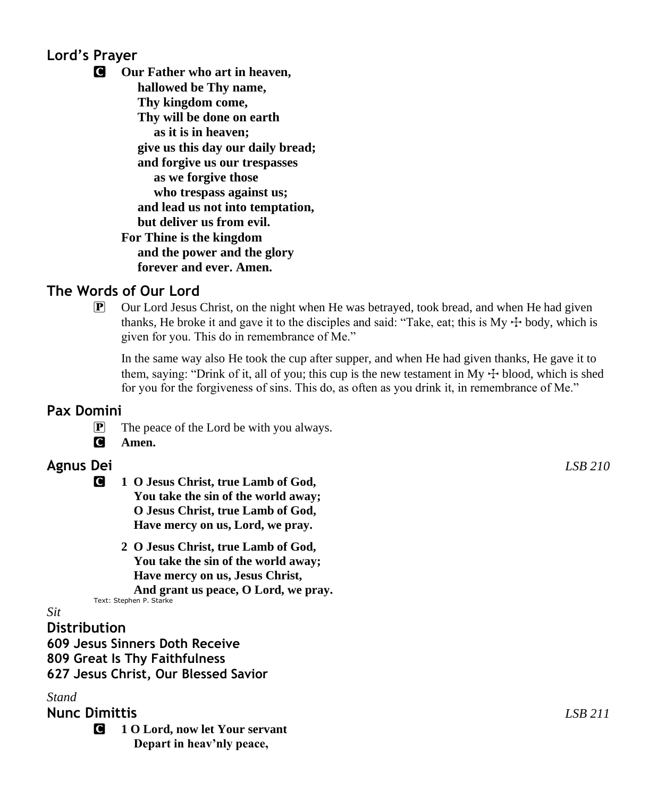# **Lord's Prayer**

C **Our Father who art in heaven, hallowed be Thy name, Thy kingdom come, Thy will be done on earth as it is in heaven; give us this day our daily bread; and forgive us our trespasses as we forgive those who trespass against us; and lead us not into temptation, but deliver us from evil. For Thine is the kingdom and the power and the glory forever and ever. Amen.**

# **The Words of Our Lord**

 $\mathbb{P}$  Our Lord Jesus Christ, on the night when He was betrayed, took bread, and when He had given thanks, He broke it and gave it to the disciples and said: "Take, eat; this is My  $+$  body, which is given for you. This do in remembrance of Me."

In the same way also He took the cup after supper, and when He had given thanks, He gave it to them, saying: "Drink of it, all of you; this cup is the new testament in My  $\pm$  blood, which is shed for you for the forgiveness of sins. This do, as often as you drink it, in remembrance of Me."

## **Pax Domini**

- P The peace of the Lord be with you always.
- C **Amen.**

# **Agnus Dei** *LSB 210*

- C **1 O Jesus Christ, true Lamb of God, You take the sin of the world away; O Jesus Christ, true Lamb of God, Have mercy on us, Lord, we pray.**
	- **2 O Jesus Christ, true Lamb of God, You take the sin of the world away; Have mercy on us, Jesus Christ, And grant us peace, O Lord, we pray.**

Text: Stephen P. Starke

#### *Sit*

**Distribution**

**609 Jesus Sinners Doth Receive 809 Great Is Thy Faithfulness 627 Jesus Christ, Our Blessed Savior**

## *Stand*

# **Nunc Dimittis** *LSB 211*

C **1 O Lord, now let Your servant Depart in heav'nly peace,**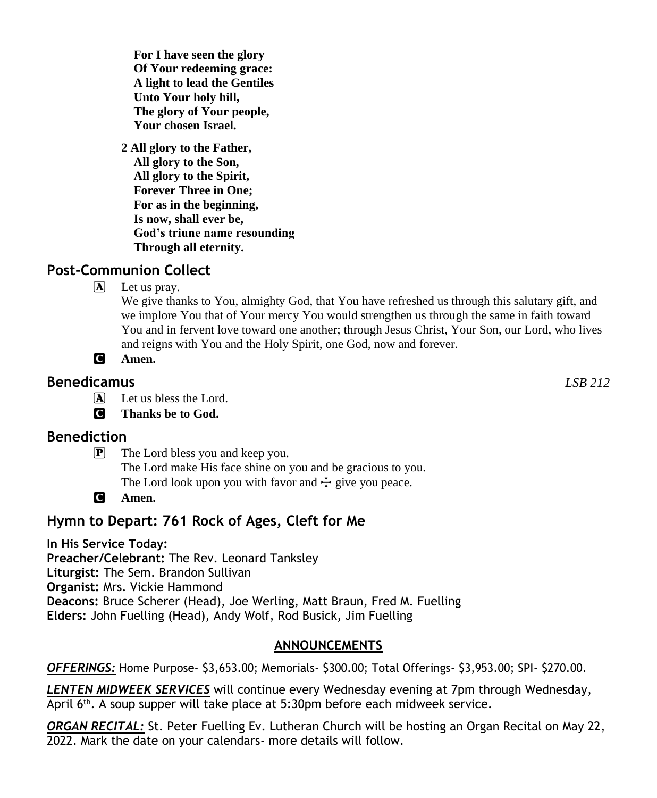**For I have seen the glory Of Your redeeming grace: A light to lead the Gentiles Unto Your holy hill, The glory of Your people, Your chosen Israel.**

**2 All glory to the Father, All glory to the Son, All glory to the Spirit, Forever Three in One; For as in the beginning, Is now, shall ever be, God's triune name resounding Through all eternity.**

# **Post-Communion Collect**

 $[\overline{\mathbf{A}}]$  Let us pray.

We give thanks to You, almighty God, that You have refreshed us through this salutary gift, and we implore You that of Your mercy You would strengthen us through the same in faith toward You and in fervent love toward one another; through Jesus Christ, Your Son, our Lord, who lives and reigns with You and the Holy Spirit, one God, now and forever.

C **Amen.**

# **Benedicamus** *LSB 212*

A Let us bless the Lord.

C **Thanks be to God.**

# **Benediction**

P The Lord bless you and keep you. The Lord make His face shine on you and be gracious to you. The Lord look upon you with favor and  $\pm$  give you peace.

C **Amen.**

# **Hymn to Depart: 761 Rock of Ages, Cleft for Me**

**In His Service Today: Preacher/Celebrant:** The Rev. Leonard Tanksley **Liturgist:** The Sem. Brandon Sullivan **Organist:** Mrs. Vickie Hammond **Deacons:** Bruce Scherer (Head), Joe Werling, Matt Braun, Fred M. Fuelling **Elders:** John Fuelling (Head), Andy Wolf, Rod Busick, Jim Fuelling

## **ANNOUNCEMENTS**

*OFFERINGS:* Home Purpose- \$3,653.00; Memorials- \$300.00; Total Offerings- \$3,953.00; SPI- \$270.00.

*LENTEN MIDWEEK SERVICES* will continue every Wednesday evening at 7pm through Wednesday, April 6th. A soup supper will take place at 5:30pm before each midweek service.

*ORGAN RECITAL:* St. Peter Fuelling Ev. Lutheran Church will be hosting an Organ Recital on May 22, 2022. Mark the date on your calendars- more details will follow.